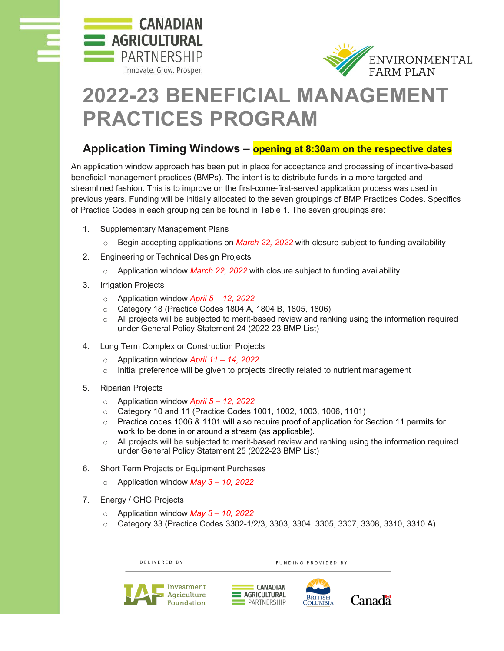



## **2022-23 BENEFICIAL MANAGEMENT PRACTICES PROGRAM**

## **Application Timing Windows – opening at 8:30am on the respective dates**

An application window approach has been put in place for acceptance and processing of incentive-based beneficial management practices (BMPs). The intent is to distribute funds in a more targeted and streamlined fashion. This is to improve on the first-come-first-served application process was used in previous years. Funding will be initially allocated to the seven groupings of BMP Practices Codes. Specifics of Practice Codes in each grouping can be found in Table 1. The seven groupings are:

- 1. Supplementary Management Plans
	- o Begin accepting applications on *March 22, 2022* with closure subject to funding availability
- 2. Engineering or Technical Design Projects
	- o Application window *March 22, 2022* with closure subject to funding availability
- 3. Irrigation Projects
	- o Application window *April 5 – 12, 2022*
	- o Category 18 (Practice Codes 1804 A, 1804 B, 1805, 1806)
	- $\circ$  All projects will be subjected to merit-based review and ranking using the information required under General Policy Statement 24 (2022-23 BMP List)
- 4. Long Term Complex or Construction Projects
	- o Application window *April 11 – 14, 2022*
	- o Initial preference will be given to projects directly related to nutrient management
- 5. Riparian Projects
	- o Application window *April 5 – 12, 2022*
	- o Category 10 and 11 (Practice Codes 1001, 1002, 1003, 1006, 1101)
	- $\circ$  Practice codes 1006 & 1101 will also require proof of application for Section 11 permits for work to be done in or around a stream (as applicable).
	- $\circ$  All projects will be subjected to merit-based review and ranking using the information required under General Policy Statement 25 (2022-23 BMP List)
- 6. Short Term Projects or Equipment Purchases
	- o Application window *May 3 – 10, 2022*
- 7. Energy / GHG Projects
	- o Application window *May 3 – 10, 2022*
	- o Category 33 (Practice Codes 3302-1/2/3, 3303, 3304, 3305, 3307, 3308, 3310, 3310 A)

DELIVERED BY FUNDING PROVIDED BY Investment **CANADIAN** AGRICULTURAL Agriculture **PARTNERSHIP** Foundation